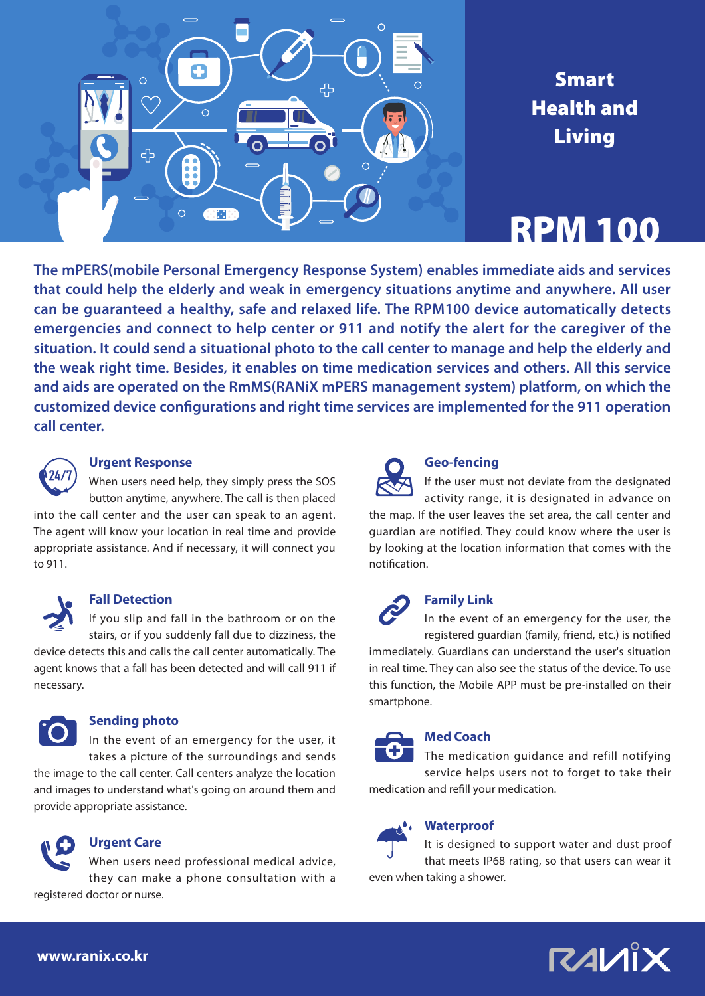

# Smart Health and Living

# RPM 100

**The mPERS(mobile Personal Emergency Response System) enables immediate aids and services that could help the elderly and weak in emergency situations anytime and anywhere. All user can be guaranteed a healthy, safe and relaxed life. The RPM100 device automatically detects emergencies and connect to help center or 911 and notify the alert for the caregiver of the situation. It could send a situational photo to the call center to manage and help the elderly and the weak right time. Besides, it enables on time medication services and others. All this service and aids are operated on the RmMS(RANiX mPERS management system) platform, on which the customized device configurations and right time services are implemented for the 911 operation call center.**



#### **Urgent Response**

When users need help, they simply press the SOS button anytime, anywhere. The call is then placed

into the call center and the user can speak to an agent. The agent will know your location in real time and provide appropriate assistance. And if necessary, it will connect you to 911.

#### **Fall Detection**

If you slip and fall in the bathroom or on the stairs, or if you suddenly fall due to dizziness, the device detects this and calls the call center automatically. The agent knows that a fall has been detected and will call 911 if necessary.



#### **Sending photo**

In the event of an emergency for the user, it takes a picture of the surroundings and sends the image to the call center. Call centers analyze the location and images to understand what's going on around them and provide appropriate assistance.



#### **Urgent Care**

When users need professional medical advice, they can make a phone consultation with a registered doctor or nurse.



#### **Geo-fencing**

If the user must not deviate from the designated activity range, it is designated in advance on the map. If the user leaves the set area, the call center and guardian are notified. They could know where the user is by looking at the location information that comes with the notification.



#### **Family Link**

In the event of an emergency for the user, the registered guardian (family, friend, etc.) is notified

immediately. Guardians can understand the user's situation in real time. They can also see the status of the device. To use this function, the Mobile APP must be pre-installed on their smartphone.

#### **Med Coach**

The medication guidance and refill notifying service helps users not to forget to take their medication and refill your medication.

#### **Waterproof**

It is designed to support water and dust proof that meets IP68 rating, so that users can wear it even when taking a shower.